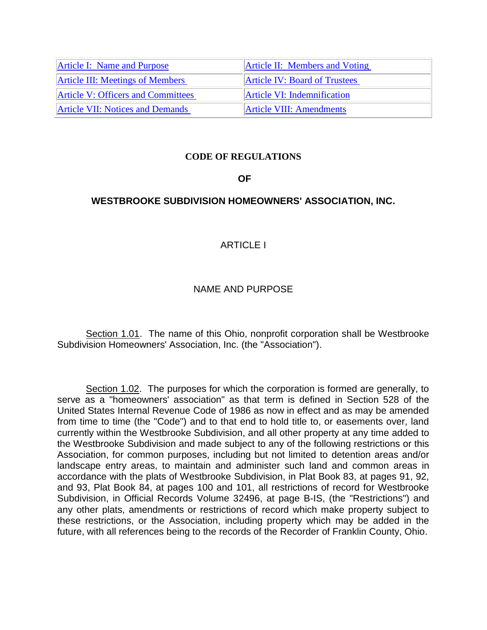| <b>Article I: Name and Purpose</b>        | <b>Article II: Members and Voting</b> |
|-------------------------------------------|---------------------------------------|
| <b>Article III: Meetings of Members</b>   | <b>Article IV: Board of Trustees</b>  |
| <b>Article V: Officers and Committees</b> | Article VI: Indemnification           |
| <b>Article VII: Notices and Demands</b>   | <b>Article VIII: Amendments</b>       |

#### **CODE OF REGULATIONS**

#### **OF**

#### <span id="page-0-0"></span>**WESTBROOKE SUBDIVISION HOMEOWNERS' ASSOCIATION, INC.**

#### ARTICLE I

#### NAME AND PURPOSE

Section 1.01. The name of this Ohio, nonprofit corporation shall be Westbrooke Subdivision Homeowners' Association, Inc. (the "Association").

Section 1.02. The purposes for which the corporation is formed are generally, to serve as a "homeowners' association" as that term is defined in Section 528 of the United States Internal Revenue Code of 1986 as now in effect and as may be amended from time to time (the "Code") and to that end to hold title to, or easements over, land currently within the Westbrooke Subdivision, and all other property at any time added to the Westbrooke Subdivision and made subject to any of the following restrictions or this Association, for common purposes, including but not limited to detention areas and/or landscape entry areas, to maintain and administer such land and common areas in accordance with the plats of Westbrooke Subdivision, in Plat Book 83, at pages 91, 92, and 93, Plat Book 84, at pages 100 and 101, all restrictions of record for Westbrooke Subdivision, in Official Records Volume 32496, at page B-IS, (the "Restrictions") and any other plats, amendments or restrictions of record which make property subject to these restrictions, or the Association, including property which may be added in the future, with all references being to the records of the Recorder of Franklin County, Ohio.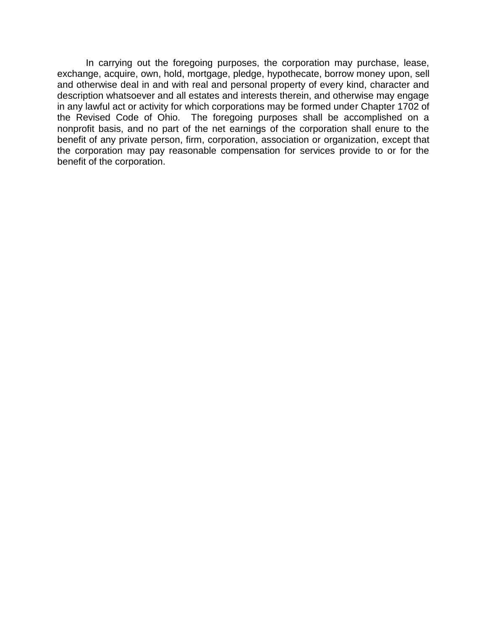In carrying out the foregoing purposes, the corporation may purchase, lease, exchange, acquire, own, hold, mortgage, pledge, hypothecate, borrow money upon, sell and otherwise deal in and with real and personal property of every kind, character and description whatsoever and all estates and interests therein, and otherwise may engage in any lawful act or activity for which corporations may be formed under Chapter 1702 of the Revised Code of Ohio. The foregoing purposes shall be accomplished on a nonprofit basis, and no part of the net earnings of the corporation shall enure to the benefit of any private person, firm, corporation, association or organization, except that the corporation may pay reasonable compensation for services provide to or for the benefit of the corporation.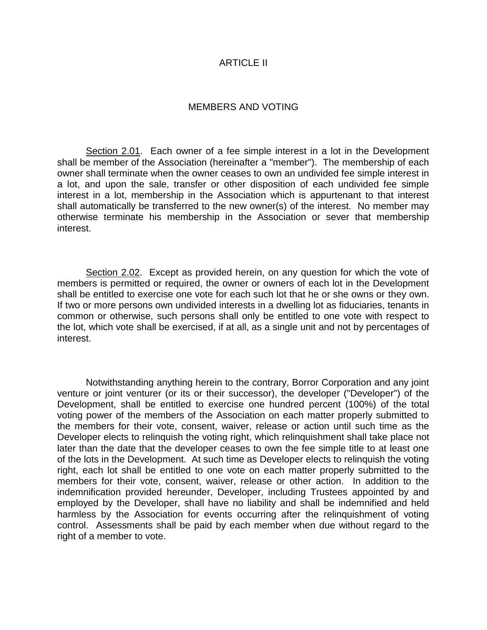#### ARTICLE II

#### MEMBERS AND VOTING

<span id="page-2-0"></span>Section 2.01. Each owner of a fee simple interest in a lot in the Development shall be member of the Association (hereinafter a "member"). The membership of each owner shall terminate when the owner ceases to own an undivided fee simple interest in a lot, and upon the sale, transfer or other disposition of each undivided fee simple interest in a lot, membership in the Association which is appurtenant to that interest shall automatically be transferred to the new owner(s) of the interest. No member may otherwise terminate his membership in the Association or sever that membership interest.

Section 2.02. Except as provided herein, on any question for which the vote of members is permitted or required, the owner or owners of each lot in the Development shall be entitled to exercise one vote for each such lot that he or she owns or they own. If two or more persons own undivided interests in a dwelling lot as fiduciaries, tenants in common or otherwise, such persons shall only be entitled to one vote with respect to the lot, which vote shall be exercised, if at all, as a single unit and not by percentages of interest.

Notwithstanding anything herein to the contrary, Borror Corporation and any joint venture or joint venturer (or its or their successor), the developer ("Developer") of the Development, shall be entitled to exercise one hundred percent (100%) of the total voting power of the members of the Association on each matter properly submitted to the members for their vote, consent, waiver, release or action until such time as the Developer elects to relinquish the voting right, which relinquishment shall take place not later than the date that the developer ceases to own the fee simple title to at least one of the lots in the Development. At such time as Developer elects to relinquish the voting right, each lot shall be entitled to one vote on each matter properly submitted to the members for their vote, consent, waiver, release or other action. In addition to the indemnification provided hereunder, Developer, including Trustees appointed by and employed by the Developer, shall have no liability and shall be indemnified and held harmless by the Association for events occurring after the relinquishment of voting control. Assessments shall be paid by each member when due without regard to the right of a member to vote.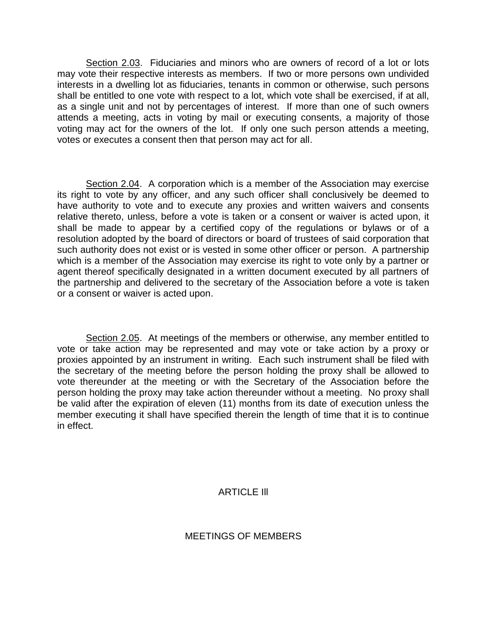Section 2.03. Fiduciaries and minors who are owners of record of a lot or lots may vote their respective interests as members. If two or more persons own undivided interests in a dwelling lot as fiduciaries, tenants in common or otherwise, such persons shall be entitled to one vote with respect to a lot, which vote shall be exercised, if at all, as a single unit and not by percentages of interest. If more than one of such owners attends a meeting, acts in voting by mail or executing consents, a majority of those voting may act for the owners of the lot. If only one such person attends a meeting, votes or executes a consent then that person may act for all.

Section 2.04. A corporation which is a member of the Association may exercise its right to vote by any officer, and any such officer shall conclusively be deemed to have authority to vote and to execute any proxies and written waivers and consents relative thereto, unless, before a vote is taken or a consent or waiver is acted upon, it shall be made to appear by a certified copy of the regulations or bylaws or of a resolution adopted by the board of directors or board of trustees of said corporation that such authority does not exist or is vested in some other officer or person. A partnership which is a member of the Association may exercise its right to vote only by a partner or agent thereof specifically designated in a written document executed by all partners of the partnership and delivered to the secretary of the Association before a vote is taken or a consent or waiver is acted upon.

Section 2.05. At meetings of the members or otherwise, any member entitled to vote or take action may be represented and may vote or take action by a proxy or proxies appointed by an instrument in writing. Each such instrument shall be filed with the secretary of the meeting before the person holding the proxy shall be allowed to vote thereunder at the meeting or with the Secretary of the Association before the person holding the proxy may take action thereunder without a meeting. No proxy shall be valid after the expiration of eleven (11) months from its date of execution unless the member executing it shall have specified therein the length of time that it is to continue in effect.

# ARTICLE Ill

### <span id="page-3-0"></span>MEETINGS OF MEMBERS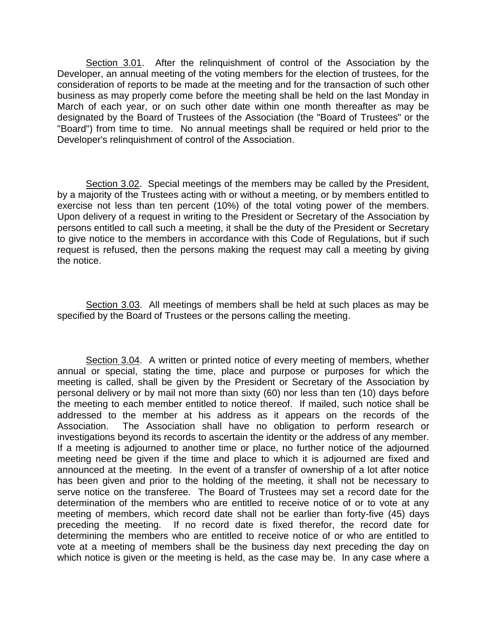Section 3.01. After the relinquishment of control of the Association by the Developer, an annual meeting of the voting members for the election of trustees, for the consideration of reports to be made at the meeting and for the transaction of such other business as may properly come before the meeting shall be held on the last Monday in March of each year, or on such other date within one month thereafter as may be designated by the Board of Trustees of the Association (the "Board of Trustees" or the "Board") from time to time. No annual meetings shall be required or held prior to the Developer's relinquishment of control of the Association.

Section 3.02. Special meetings of the members may be called by the President, by a majority of the Trustees acting with or without a meeting, or by members entitled to exercise not less than ten percent (10%) of the total voting power of the members. Upon delivery of a request in writing to the President or Secretary of the Association by persons entitled to call such a meeting, it shall be the duty of the President or Secretary to give notice to the members in accordance with this Code of Regulations, but if such request is refused, then the persons making the request may call a meeting by giving the notice.

Section 3.03. All meetings of members shall be held at such places as may be specified by the Board of Trustees or the persons calling the meeting.

Section 3.04. A written or printed notice of every meeting of members, whether annual or special, stating the time, place and purpose or purposes for which the meeting is called, shall be given by the President or Secretary of the Association by personal delivery or by mail not more than sixty (60) nor less than ten (10) days before the meeting to each member entitled to notice thereof. If mailed, such notice shall be addressed to the member at his address as it appears on the records of the Association. The Association shall have no obligation to perform research or investigations beyond its records to ascertain the identity or the address of any member. If a meeting is adjourned to another time or place, no further notice of the adjourned meeting need be given if the time and place to which it is adjourned are fixed and announced at the meeting. In the event of a transfer of ownership of a lot after notice has been given and prior to the holding of the meeting, it shall not be necessary to serve notice on the transferee. The Board of Trustees may set a record date for the determination of the members who are entitled to receive notice of or to vote at any meeting of members, which record date shall not be earlier than forty-five (45) days preceding the meeting. If no record date is fixed therefor, the record date for determining the members who are entitled to receive notice of or who are entitled to vote at a meeting of members shall be the business day next preceding the day on which notice is given or the meeting is held, as the case may be. In any case where a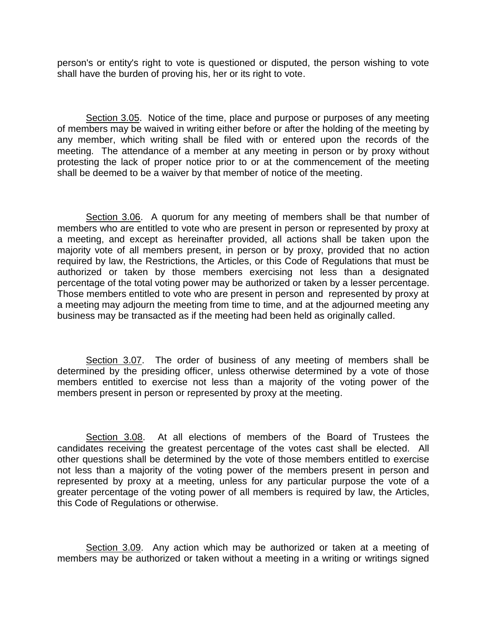person's or entity's right to vote is questioned or disputed, the person wishing to vote shall have the burden of proving his, her or its right to vote.

Section 3.05. Notice of the time, place and purpose or purposes of any meeting of members may be waived in writing either before or after the holding of the meeting by any member, which writing shall be filed with or entered upon the records of the meeting. The attendance of a member at any meeting in person or by proxy without protesting the lack of proper notice prior to or at the commencement of the meeting shall be deemed to be a waiver by that member of notice of the meeting.

Section 3.06. A quorum for any meeting of members shall be that number of members who are entitled to vote who are present in person or represented by proxy at a meeting, and except as hereinafter provided, all actions shall be taken upon the majority vote of all members present, in person or by proxy, provided that no action required by law, the Restrictions, the Articles, or this Code of Regulations that must be authorized or taken by those members exercising not less than a designated percentage of the total voting power may be authorized or taken by a lesser percentage. Those members entitled to vote who are present in person and represented by proxy at a meeting may adjourn the meeting from time to time, and at the adjourned meeting any business may be transacted as if the meeting had been held as originally called.

Section 3.07. The order of business of any meeting of members shall be determined by the presiding officer, unless otherwise determined by a vote of those members entitled to exercise not less than a majority of the voting power of the members present in person or represented by proxy at the meeting.

Section 3.08. At all elections of members of the Board of Trustees the candidates receiving the greatest percentage of the votes cast shall be elected. All other questions shall be determined by the vote of those members entitled to exercise not less than a majority of the voting power of the members present in person and represented by proxy at a meeting, unless for any particular purpose the vote of a greater percentage of the voting power of all members is required by law, the Articles, this Code of Regulations or otherwise.

Section 3.09. Any action which may be authorized or taken at a meeting of members may be authorized or taken without a meeting in a writing or writings signed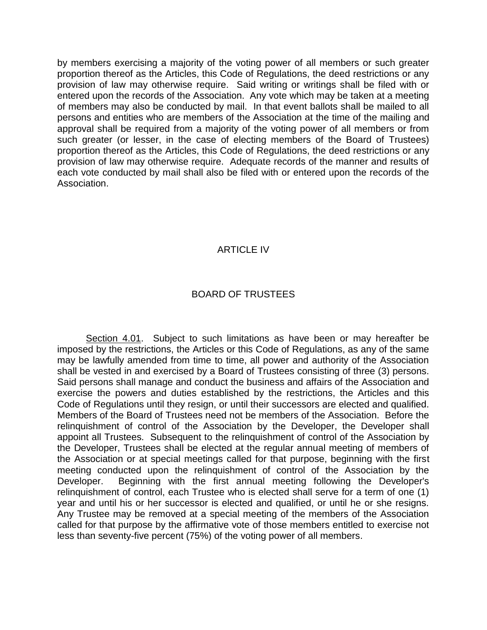by members exercising a majority of the voting power of all members or such greater proportion thereof as the Articles, this Code of Regulations, the deed restrictions or any provision of law may otherwise require. Said writing or writings shall be filed with or entered upon the records of the Association. Any vote which may be taken at a meeting of members may also be conducted by mail. In that event ballots shall be mailed to all persons and entities who are members of the Association at the time of the mailing and approval shall be required from a majority of the voting power of all members or from such greater (or lesser, in the case of electing members of the Board of Trustees) proportion thereof as the Articles, this Code of Regulations, the deed restrictions or any provision of law may otherwise require. Adequate records of the manner and results of each vote conducted by mail shall also be filed with or entered upon the records of the Association.

## ARTICLE IV

## BOARD OF TRUSTEES

<span id="page-6-0"></span>Section 4.01. Subject to such limitations as have been or may hereafter be imposed by the restrictions, the Articles or this Code of Regulations, as any of the same may be lawfully amended from time to time, all power and authority of the Association shall be vested in and exercised by a Board of Trustees consisting of three (3) persons. Said persons shall manage and conduct the business and affairs of the Association and exercise the powers and duties established by the restrictions, the Articles and this Code of Regulations until they resign, or until their successors are elected and qualified. Members of the Board of Trustees need not be members of the Association. Before the relinquishment of control of the Association by the Developer, the Developer shall appoint all Trustees. Subsequent to the relinquishment of control of the Association by the Developer, Trustees shall be elected at the regular annual meeting of members of the Association or at special meetings called for that purpose, beginning with the first meeting conducted upon the relinquishment of control of the Association by the Developer. Beginning with the first annual meeting following the Developer's relinquishment of control, each Trustee who is elected shall serve for a term of one (1) year and until his or her successor is elected and qualified, or until he or she resigns. Any Trustee may be removed at a special meeting of the members of the Association called for that purpose by the affirmative vote of those members entitled to exercise not less than seventy-five percent (75%) of the voting power of all members.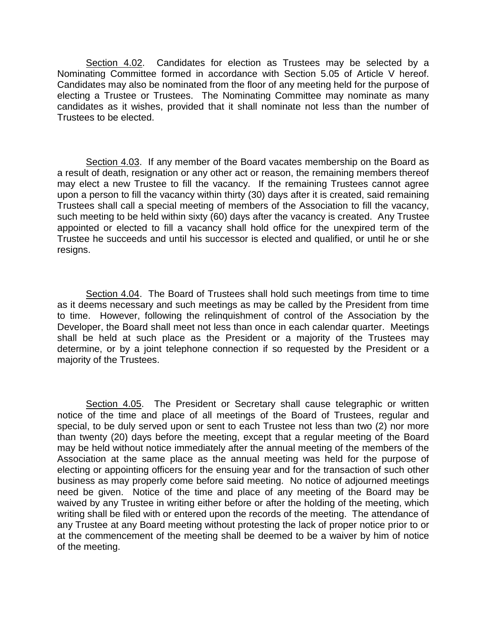Section 4.02. Candidates for election as Trustees may be selected by a Nominating Committee formed in accordance with Section 5.05 of Article V hereof. Candidates may also be nominated from the floor of any meeting held for the purpose of electing a Trustee or Trustees. The Nominating Committee may nominate as many candidates as it wishes, provided that it shall nominate not less than the number of Trustees to be elected.

Section 4.03. If any member of the Board vacates membership on the Board as a result of death, resignation or any other act or reason, the remaining members thereof may elect a new Trustee to fill the vacancy. If the remaining Trustees cannot agree upon a person to fill the vacancy within thirty (30) days after it is created, said remaining Trustees shall call a special meeting of members of the Association to fill the vacancy, such meeting to be held within sixty (60) days after the vacancy is created. Any Trustee appointed or elected to fill a vacancy shall hold office for the unexpired term of the Trustee he succeeds and until his successor is elected and qualified, or until he or she resigns.

Section 4.04. The Board of Trustees shall hold such meetings from time to time as it deems necessary and such meetings as may be called by the President from time to time. However, following the relinquishment of control of the Association by the Developer, the Board shall meet not less than once in each calendar quarter. Meetings shall be held at such place as the President or a majority of the Trustees may determine, or by a joint telephone connection if so requested by the President or a majority of the Trustees.

Section 4.05. The President or Secretary shall cause telegraphic or written notice of the time and place of all meetings of the Board of Trustees, regular and special, to be duly served upon or sent to each Trustee not less than two (2) nor more than twenty (20) days before the meeting, except that a regular meeting of the Board may be held without notice immediately after the annual meeting of the members of the Association at the same place as the annual meeting was held for the purpose of electing or appointing officers for the ensuing year and for the transaction of such other business as may properly come before said meeting. No notice of adjourned meetings need be given. Notice of the time and place of any meeting of the Board may be waived by any Trustee in writing either before or after the holding of the meeting, which writing shall be filed with or entered upon the records of the meeting. The attendance of any Trustee at any Board meeting without protesting the lack of proper notice prior to or at the commencement of the meeting shall be deemed to be a waiver by him of notice of the meeting.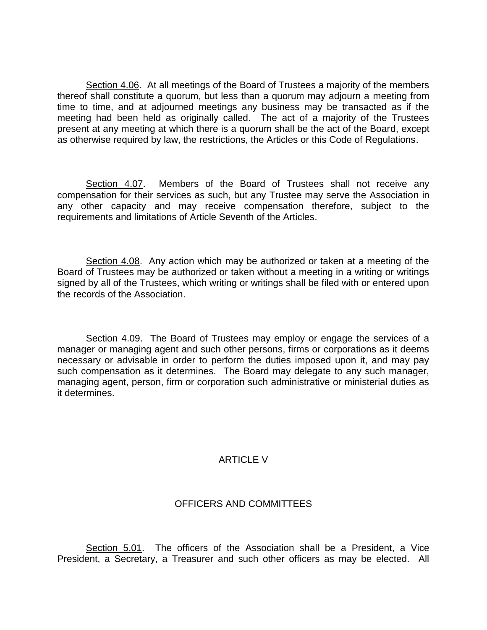Section 4.06. At all meetings of the Board of Trustees a majority of the members thereof shall constitute a quorum, but less than a quorum may adjourn a meeting from time to time, and at adjourned meetings any business may be transacted as if the meeting had been held as originally called. The act of a majority of the Trustees present at any meeting at which there is a quorum shall be the act of the Board, except as otherwise required by law, the restrictions, the Articles or this Code of Regulations.

Section 4.07. Members of the Board of Trustees shall not receive any compensation for their services as such, but any Trustee may serve the Association in any other capacity and may receive compensation therefore, subject to the requirements and limitations of Article Seventh of the Articles.

Section 4.08. Any action which may be authorized or taken at a meeting of the Board of Trustees may be authorized or taken without a meeting in a writing or writings signed by all of the Trustees, which writing or writings shall be filed with or entered upon the records of the Association.

Section 4.09. The Board of Trustees may employ or engage the services of a manager or managing agent and such other persons, firms or corporations as it deems necessary or advisable in order to perform the duties imposed upon it, and may pay such compensation as it determines. The Board may delegate to any such manager, managing agent, person, firm or corporation such administrative or ministerial duties as it determines.

# ARTICLE V

# OFFICERS AND COMMITTEES

<span id="page-8-0"></span>Section 5.01. The officers of the Association shall be a President, a Vice President, a Secretary, a Treasurer and such other officers as may be elected. All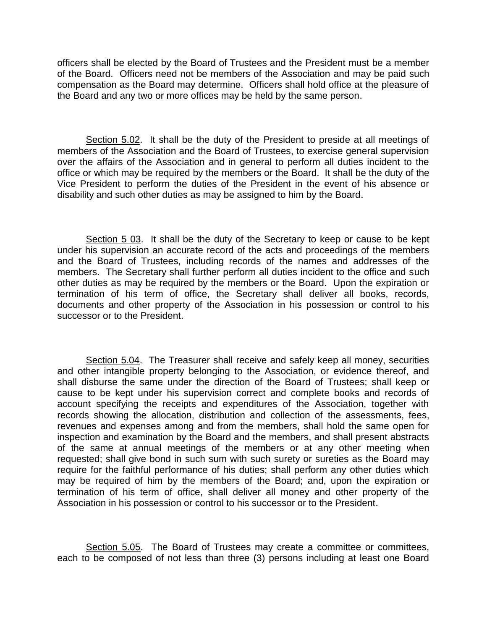officers shall be elected by the Board of Trustees and the President must be a member of the Board. Officers need not be members of the Association and may be paid such compensation as the Board may determine. Officers shall hold office at the pleasure of the Board and any two or more offices may be held by the same person.

Section 5.02. It shall be the duty of the President to preside at all meetings of members of the Association and the Board of Trustees, to exercise general supervision over the affairs of the Association and in general to perform all duties incident to the office or which may be required by the members or the Board. It shall be the duty of the Vice President to perform the duties of the President in the event of his absence or disability and such other duties as may be assigned to him by the Board.

Section 5 03. It shall be the duty of the Secretary to keep or cause to be kept under his supervision an accurate record of the acts and proceedings of the members and the Board of Trustees, including records of the names and addresses of the members. The Secretary shall further perform all duties incident to the office and such other duties as may be required by the members or the Board. Upon the expiration or termination of his term of office, the Secretary shall deliver all books, records, documents and other property of the Association in his possession or control to his successor or to the President.

Section 5.04. The Treasurer shall receive and safely keep all money, securities and other intangible property belonging to the Association, or evidence thereof, and shall disburse the same under the direction of the Board of Trustees; shall keep or cause to be kept under his supervision correct and complete books and records of account specifying the receipts and expenditures of the Association, together with records showing the allocation, distribution and collection of the assessments, fees, revenues and expenses among and from the members, shall hold the same open for inspection and examination by the Board and the members, and shall present abstracts of the same at annual meetings of the members or at any other meeting when requested; shall give bond in such sum with such surety or sureties as the Board may require for the faithful performance of his duties; shall perform any other duties which may be required of him by the members of the Board; and, upon the expiration or termination of his term of office, shall deliver all money and other property of the Association in his possession or control to his successor or to the President.

Section 5.05. The Board of Trustees may create a committee or committees, each to be composed of not less than three (3) persons including at least one Board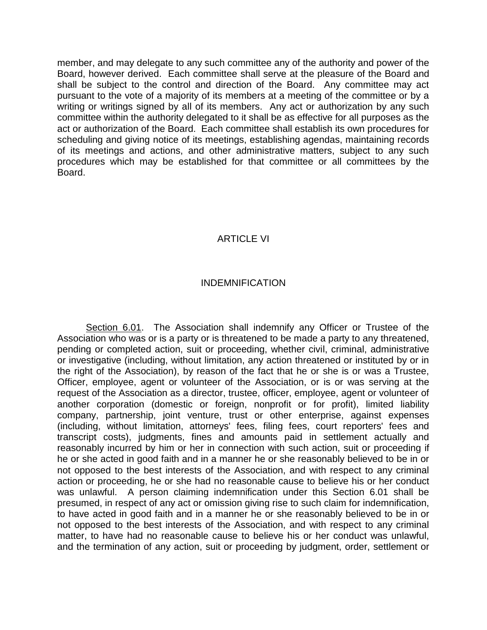member, and may delegate to any such committee any of the authority and power of the Board, however derived. Each committee shall serve at the pleasure of the Board and shall be subject to the control and direction of the Board. Any committee may act pursuant to the vote of a majority of its members at a meeting of the committee or by a writing or writings signed by all of its members. Any act or authorization by any such committee within the authority delegated to it shall be as effective for all purposes as the act or authorization of the Board. Each committee shall establish its own procedures for scheduling and giving notice of its meetings, establishing agendas, maintaining records of its meetings and actions, and other administrative matters, subject to any such procedures which may be established for that committee or all committees by the Board.

## ARTICLE VI

### INDEMNIFICATION

<span id="page-10-0"></span>Section 6.01. The Association shall indemnify any Officer or Trustee of the Association who was or is a party or is threatened to be made a party to any threatened, pending or completed action, suit or proceeding, whether civil, criminal, administrative or investigative (including, without limitation, any action threatened or instituted by or in the right of the Association), by reason of the fact that he or she is or was a Trustee, Officer, employee, agent or volunteer of the Association, or is or was serving at the request of the Association as a director, trustee, officer, employee, agent or volunteer of another corporation (domestic or foreign, nonprofit or for profit), limited liability company, partnership, joint venture, trust or other enterprise, against expenses (including, without limitation, attorneys' fees, filing fees, court reporters' fees and transcript costs), judgments, fines and amounts paid in settlement actually and reasonably incurred by him or her in connection with such action, suit or proceeding if he or she acted in good faith and in a manner he or she reasonably believed to be in or not opposed to the best interests of the Association, and with respect to any criminal action or proceeding, he or she had no reasonable cause to believe his or her conduct was unlawful. A person claiming indemnification under this Section 6.01 shall be presumed, in respect of any act or omission giving rise to such claim for indemnification, to have acted in good faith and in a manner he or she reasonably believed to be in or not opposed to the best interests of the Association, and with respect to any criminal matter, to have had no reasonable cause to believe his or her conduct was unlawful, and the termination of any action, suit or proceeding by judgment, order, settlement or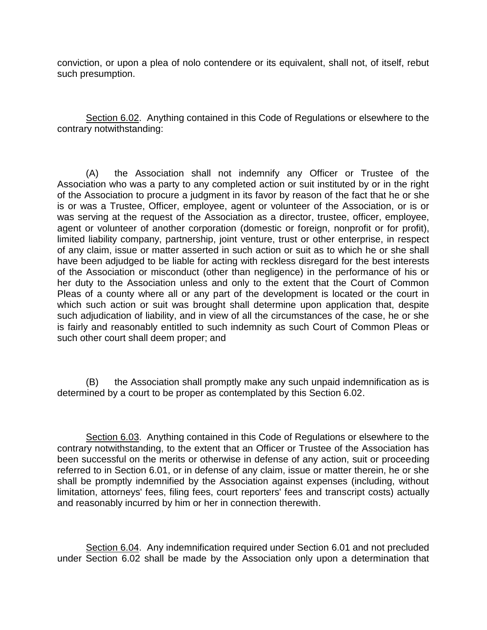conviction, or upon a plea of nolo contendere or its equivalent, shall not, of itself, rebut such presumption.

Section 6.02. Anything contained in this Code of Regulations or elsewhere to the contrary notwithstanding:

(A) the Association shall not indemnify any Officer or Trustee of the Association who was a party to any completed action or suit instituted by or in the right of the Association to procure a judgment in its favor by reason of the fact that he or she is or was a Trustee, Officer, employee, agent or volunteer of the Association, or is or was serving at the request of the Association as a director, trustee, officer, employee, agent or volunteer of another corporation (domestic or foreign, nonprofit or for profit), limited liability company, partnership, joint venture, trust or other enterprise, in respect of any claim, issue or matter asserted in such action or suit as to which he or she shall have been adjudged to be liable for acting with reckless disregard for the best interests of the Association or misconduct (other than negligence) in the performance of his or her duty to the Association unless and only to the extent that the Court of Common Pleas of a county where all or any part of the development is located or the court in which such action or suit was brought shall determine upon application that, despite such adjudication of liability, and in view of all the circumstances of the case, he or she is fairly and reasonably entitled to such indemnity as such Court of Common Pleas or such other court shall deem proper; and

(B) the Association shall promptly make any such unpaid indemnification as is determined by a court to be proper as contemplated by this Section 6.02.

Section 6.03. Anything contained in this Code of Regulations or elsewhere to the contrary notwithstanding, to the extent that an Officer or Trustee of the Association has been successful on the merits or otherwise in defense of any action, suit or proceeding referred to in Section 6.01, or in defense of any claim, issue or matter therein, he or she shall be promptly indemnified by the Association against expenses (including, without limitation, attorneys' fees, filing fees, court reporters' fees and transcript costs) actually and reasonably incurred by him or her in connection therewith.

Section 6.04. Any indemnification required under Section 6.01 and not precluded under Section 6.02 shall be made by the Association only upon a determination that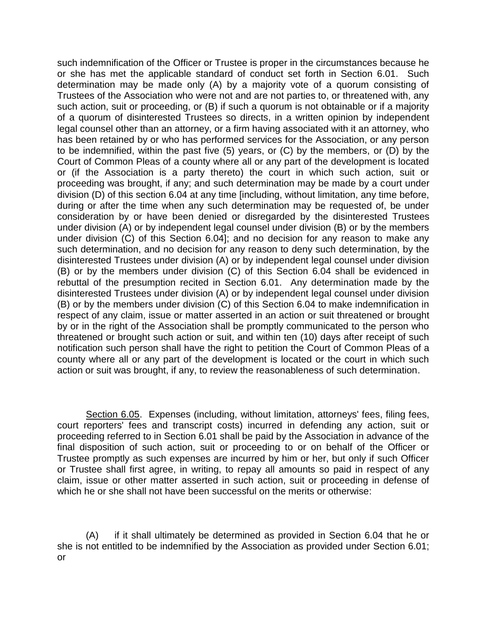such indemnification of the Officer or Trustee is proper in the circumstances because he or she has met the applicable standard of conduct set forth in Section 6.01. Such determination may be made only (A) by a majority vote of a quorum consisting of Trustees of the Association who were not and are not parties to, or threatened with, any such action, suit or proceeding, or (B) if such a quorum is not obtainable or if a majority of a quorum of disinterested Trustees so directs, in a written opinion by independent legal counsel other than an attorney, or a firm having associated with it an attorney, who has been retained by or who has performed services for the Association, or any person to be indemnified, within the past five (5) years, or (C) by the members, or (D) by the Court of Common Pleas of a county where all or any part of the development is located or (if the Association is a party thereto) the court in which such action, suit or proceeding was brought, if any; and such determination may be made by a court under division (D) of this section 6.04 at any time [including, without limitation, any time before, during or after the time when any such determination may be requested of, be under consideration by or have been denied or disregarded by the disinterested Trustees under division (A) or by independent legal counsel under division (B) or by the members under division (C) of this Section 6.04]; and no decision for any reason to make any such determination, and no decision for any reason to deny such determination, by the disinterested Trustees under division (A) or by independent legal counsel under division (B) or by the members under division (C) of this Section 6.04 shall be evidenced in rebuttal of the presumption recited in Section 6.01. Any determination made by the disinterested Trustees under division (A) or by independent legal counsel under division (B) or by the members under division (C) of this Section 6.04 to make indemnification in respect of any claim, issue or matter asserted in an action or suit threatened or brought by or in the right of the Association shall be promptly communicated to the person who threatened or brought such action or suit, and within ten (10) days after receipt of such notification such person shall have the right to petition the Court of Common Pleas of a county where all or any part of the development is located or the court in which such action or suit was brought, if any, to review the reasonableness of such determination.

Section 6.05. Expenses (including, without limitation, attorneys' fees, filing fees, court reporters' fees and transcript costs) incurred in defending any action, suit or proceeding referred to in Section 6.01 shall be paid by the Association in advance of the final disposition of such action, suit or proceeding to or on behalf of the Officer or Trustee promptly as such expenses are incurred by him or her, but only if such Officer or Trustee shall first agree, in writing, to repay all amounts so paid in respect of any claim, issue or other matter asserted in such action, suit or proceeding in defense of which he or she shall not have been successful on the merits or otherwise:

(A) if it shall ultimately be determined as provided in Section 6.04 that he or she is not entitled to be indemnified by the Association as provided under Section 6.01; or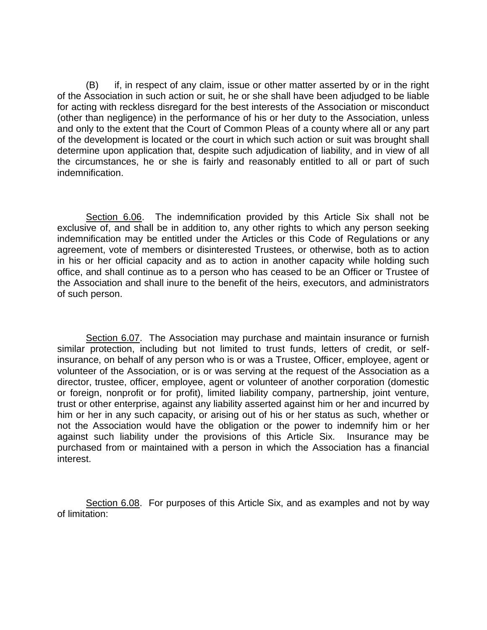(B) if, in respect of any claim, issue or other matter asserted by or in the right of the Association in such action or suit, he or she shall have been adjudged to be liable for acting with reckless disregard for the best interests of the Association or misconduct (other than negligence) in the performance of his or her duty to the Association, unless and only to the extent that the Court of Common Pleas of a county where all or any part of the development is located or the court in which such action or suit was brought shall determine upon application that, despite such adjudication of liability, and in view of all the circumstances, he or she is fairly and reasonably entitled to all or part of such indemnification.

Section 6.06. The indemnification provided by this Article Six shall not be exclusive of, and shall be in addition to, any other rights to which any person seeking indemnification may be entitled under the Articles or this Code of Regulations or any agreement, vote of members or disinterested Trustees, or otherwise, both as to action in his or her official capacity and as to action in another capacity while holding such office, and shall continue as to a person who has ceased to be an Officer or Trustee of the Association and shall inure to the benefit of the heirs, executors, and administrators of such person.

Section 6.07. The Association may purchase and maintain insurance or furnish similar protection, including but not limited to trust funds, letters of credit, or selfinsurance, on behalf of any person who is or was a Trustee, Officer, employee, agent or volunteer of the Association, or is or was serving at the request of the Association as a director, trustee, officer, employee, agent or volunteer of another corporation (domestic or foreign, nonprofit or for profit), limited liability company, partnership, joint venture, trust or other enterprise, against any liability asserted against him or her and incurred by him or her in any such capacity, or arising out of his or her status as such, whether or not the Association would have the obligation or the power to indemnify him or her against such liability under the provisions of this Article Six. Insurance may be purchased from or maintained with a person in which the Association has a financial interest.

Section 6.08. For purposes of this Article Six, and as examples and not by way of limitation: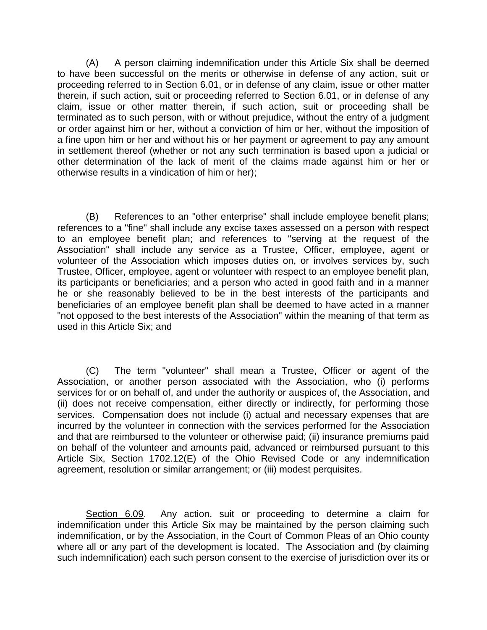(A) A person claiming indemnification under this Article Six shall be deemed to have been successful on the merits or otherwise in defense of any action, suit or proceeding referred to in Section 6.01, or in defense of any claim, issue or other matter therein, if such action, suit or proceeding referred to Section 6.01, or in defense of any claim, issue or other matter therein, if such action, suit or proceeding shall be terminated as to such person, with or without prejudice, without the entry of a judgment or order against him or her, without a conviction of him or her, without the imposition of a fine upon him or her and without his or her payment or agreement to pay any amount in settlement thereof (whether or not any such termination is based upon a judicial or other determination of the lack of merit of the claims made against him or her or otherwise results in a vindication of him or her);

(B) References to an "other enterprise" shall include employee benefit plans; references to a "fine" shall include any excise taxes assessed on a person with respect to an employee benefit plan; and references to "serving at the request of the Association" shall include any service as a Trustee, Officer, employee, agent or volunteer of the Association which imposes duties on, or involves services by, such Trustee, Officer, employee, agent or volunteer with respect to an employee benefit plan, its participants or beneficiaries; and a person who acted in good faith and in a manner he or she reasonably believed to be in the best interests of the participants and beneficiaries of an employee benefit plan shall be deemed to have acted in a manner "not opposed to the best interests of the Association" within the meaning of that term as used in this Article Six; and

(C) The term "volunteer" shall mean a Trustee, Officer or agent of the Association, or another person associated with the Association, who (i) performs services for or on behalf of, and under the authority or auspices of, the Association, and (ii) does not receive compensation, either directly or indirectly, for performing those services. Compensation does not include (i) actual and necessary expenses that are incurred by the volunteer in connection with the services performed for the Association and that are reimbursed to the volunteer or otherwise paid; (ii) insurance premiums paid on behalf of the volunteer and amounts paid, advanced or reimbursed pursuant to this Article Six, Section 1702.12(E) of the Ohio Revised Code or any indemnification agreement, resolution or similar arrangement; or (iii) modest perquisites.

Section 6.09. Any action, suit or proceeding to determine a claim for indemnification under this Article Six may be maintained by the person claiming such indemnification, or by the Association, in the Court of Common Pleas of an Ohio county where all or any part of the development is located. The Association and (by claiming such indemnification) each such person consent to the exercise of jurisdiction over its or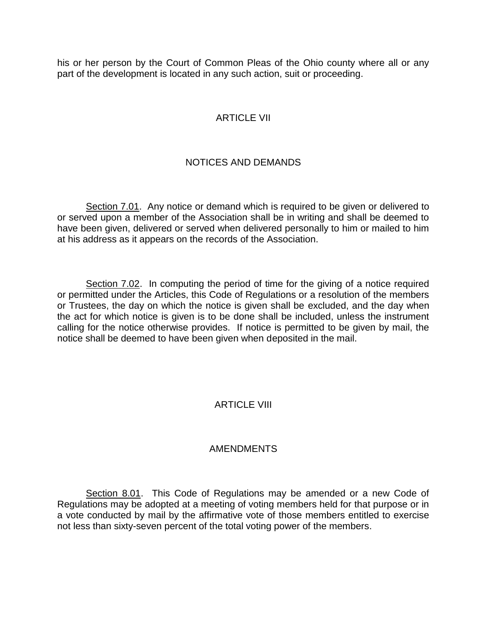<span id="page-15-0"></span>his or her person by the Court of Common Pleas of the Ohio county where all or any part of the development is located in any such action, suit or proceeding.

## ARTICLE VII

# NOTICES AND DEMANDS

Section 7.01. Any notice or demand which is required to be given or delivered to or served upon a member of the Association shall be in writing and shall be deemed to have been given, delivered or served when delivered personally to him or mailed to him at his address as it appears on the records of the Association.

Section 7.02. In computing the period of time for the giving of a notice required or permitted under the Articles, this Code of Regulations or a resolution of the members or Trustees, the day on which the notice is given shall be excluded, and the day when the act for which notice is given is to be done shall be included, unless the instrument calling for the notice otherwise provides. If notice is permitted to be given by mail, the notice shall be deemed to have been given when deposited in the mail.

### ARTICLE VIII

### AMENDMENTS

<span id="page-15-1"></span>Section 8.01. This Code of Regulations may be amended or a new Code of Regulations may be adopted at a meeting of voting members held for that purpose or in a vote conducted by mail by the affirmative vote of those members entitled to exercise not less than sixty-seven percent of the total voting power of the members.